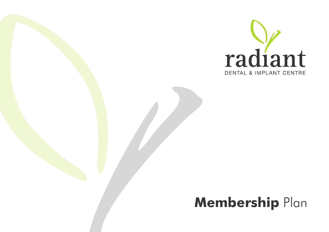

# **Membership** Plan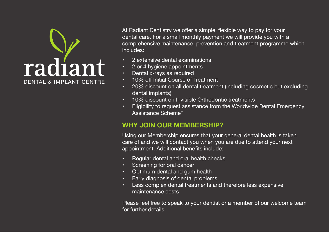# radiant **DENTAL & IMPLANT CENTRE**

At Radiant Dentistry we offer a simple, flexible way to pay for your dental care. For a small monthly payment we will provide you with a comprehensive maintenance, prevention and treatment programme which includes:

- 2 extensive dental examinations
- 2 or 4 hygiene appointments
- Dental x-rays as required
- 10% off Initial Course of Treatment
- 20% discount on all dental treatment (including cosmetic but excluding dental implants)
- 10% discount on Invisible Orthodontic treatments
- Eligibility to request assistance from the Worldwide Dental Emergency Assistance Scheme\*

## **WHY JOIN OUR MEMBERSHIP?**

Using our Membership ensures that your general dental health is taken care of and we will contact you when you are due to attend your next appointment. Additional benefits include:

- Regular dental and oral health checks
- Screening for oral cancer
- Optimum dental and gum health
- Early diagnosis of dental problems
- Less complex dental treatments and therefore less expensive maintenance costs

Please feel free to speak to your dentist or a member of our welcome team for further details.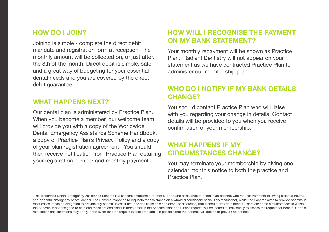#### **HOW DO I JOIN?**

Joining is simple - complete the direct debit mandate and registration form at reception. The monthly amount will be collected on, or just after, the 8th of the month. Direct debit is simple, safe and a great way of budgeting for your essential dental needs and you are covered by the direct debit guarantee.

#### **WHAT HAPPENS NEXT?**

Our dental plan is administered by Practice Plan. When you become a member, our welcome team will provide you with a copy of the Worldwide Dental Emergency Assistance Scheme Handbook, a copy of Practice Plan's Privacy Policy and a copy of your plan registration agreement. You should then receive notification from Practice Plan detailing your registration number and monthly payment.

# **HOW WILL I RECOGNISE THE PAYMENT ON MY BANK STATEMENT?**

Your monthly repayment will be shown as Practice Plan. Radiant Dentistry will not appear on your statement as we have contracted Practice Plan to administer our membership plan.

## **WHO DO I NOTIFY IF MY BANK DETAILS CHANGE?**

You should contact Practice Plan who will liaise with you regarding your change in details. Contact details will be provided to you when you receive confirmation of your membership.

#### **WHAT HAPPENS IF MY CIRCUMSTANCES CHANGE?**

You may terminate your membership by giving one calendar month's notice to both the practice and Practice Plan.

\*The Worldwide Dental Emergency Assistance Scheme is a scheme established to offer support and assistance to dental plan patients who request treatment following a dental trauma and/or dental emergency or oral cancer. The Scheme responds to requests for assistance on a wholly discretionary basis. This means that, whilst the Scheme aims to provide benefits in most cases, it has no obligation to provide any benefit unless it first decides (in its sole and absolute discretion) that it should provide a benefit. There are some circumstances in which the Scheme is not designed to help and these are explained in more detail in the Scheme Handbook. Each request will be looked at individually to assess the request for benefit. Certain restrictions and limitations may apply in the event that the request is accepted and it is possible that the Scheme will decide to provide no benefit.